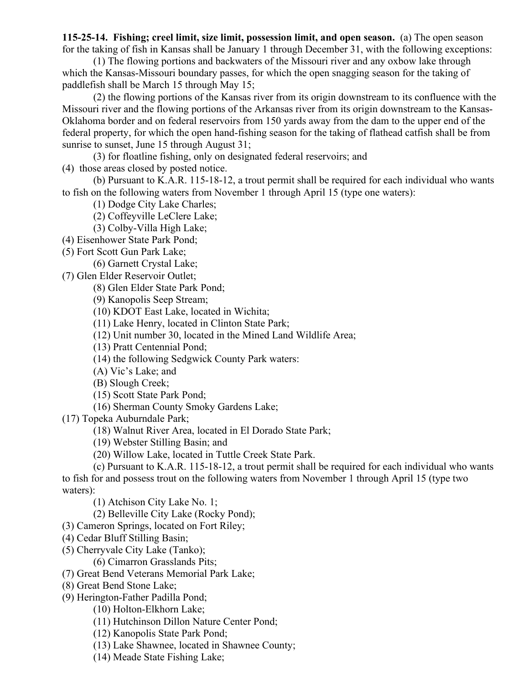**115-25-14. Fishing; creel limit, size limit, possession limit, and open season.** (a) The open season for the taking of fish in Kansas shall be January 1 through December 31, with the following exceptions:

(1) The flowing portions and backwaters of the Missouri river and any oxbow lake through which the Kansas-Missouri boundary passes, for which the open snagging season for the taking of paddlefish shall be March 15 through May 15;

(2) the flowing portions of the Kansas river from its origin downstream to its confluence with the Missouri river and the flowing portions of the Arkansas river from its origin downstream to the Kansas-Oklahoma border and on federal reservoirs from 150 yards away from the dam to the upper end of the federal property, for which the open hand-fishing season for the taking of flathead catfish shall be from sunrise to sunset, June 15 through August 31;

(3) for floatline fishing, only on designated federal reservoirs; and

(4) those areas closed by posted notice.

(b) Pursuant to K.A.R. 115-18-12, a trout permit shall be required for each individual who wants to fish on the following waters from November 1 through April 15 (type one waters):

(1) Dodge City Lake Charles;

(2) Coffeyville LeClere Lake;

(3) Colby-Villa High Lake;

(4) Eisenhower State Park Pond;

(5) Fort Scott Gun Park Lake;

(6) Garnett Crystal Lake;

(7) Glen Elder Reservoir Outlet;

(8) Glen Elder State Park Pond;

(9) Kanopolis Seep Stream;

(10) KDOT East Lake, located in Wichita;

(11) Lake Henry, located in Clinton State Park;

(12) Unit number 30, located in the Mined Land Wildlife Area;

(13) Pratt Centennial Pond;

(14) the following Sedgwick County Park waters:

(A) Vic's Lake; and

(B) Slough Creek;

(15) Scott State Park Pond;

(16) Sherman County Smoky Gardens Lake;

(17) Topeka Auburndale Park;

(18) Walnut River Area, located in El Dorado State Park;

(19) Webster Stilling Basin; and

(20) Willow Lake, located in Tuttle Creek State Park.

(c) Pursuant to K.A.R. 115-18-12, a trout permit shall be required for each individual who wants to fish for and possess trout on the following waters from November 1 through April 15 (type two waters):

(1) Atchison City Lake No. 1;

(2) Belleville City Lake (Rocky Pond);

(3) Cameron Springs, located on Fort Riley;

- (4) Cedar Bluff Stilling Basin;
- (5) Cherryvale City Lake (Tanko);

(6) Cimarron Grasslands Pits;

(7) Great Bend Veterans Memorial Park Lake;

- (8) Great Bend Stone Lake;
- (9) Herington-Father Padilla Pond;
	- (10) Holton-Elkhorn Lake;
	- (11) Hutchinson Dillon Nature Center Pond;
	- (12) Kanopolis State Park Pond;
	- (13) Lake Shawnee, located in Shawnee County;
	- (14) Meade State Fishing Lake;